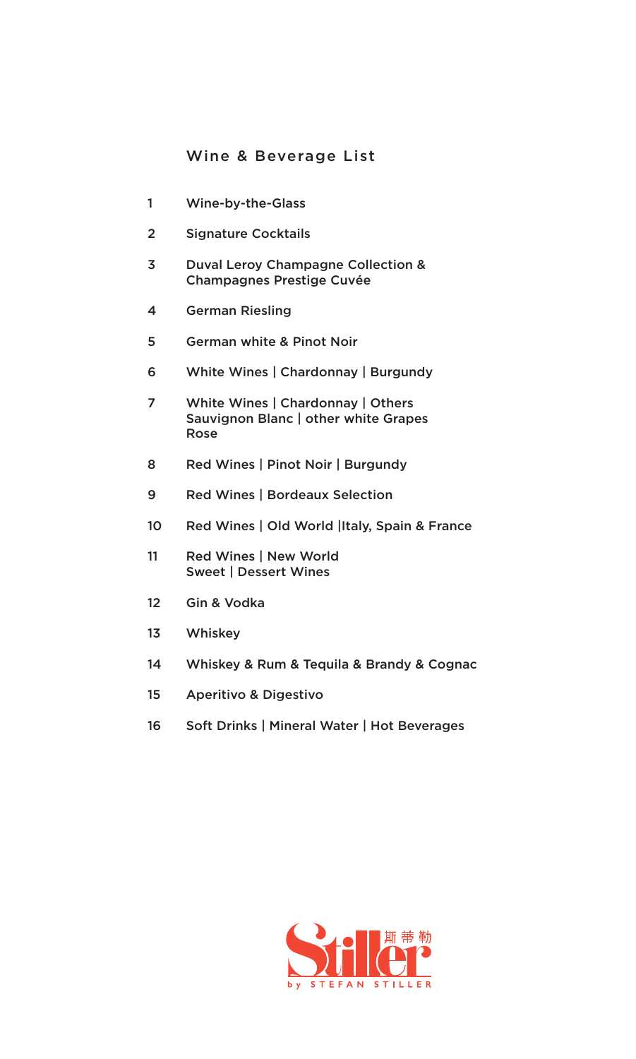## Wine & Beverage List

- Wine-by-the-Glass
- Signature Cocktails
- Duval Leroy Champagne Collection & Champagnes Prestige Cuvée
- German Riesling
- German white & Pinot Noir
- White Wines | Chardonnay | Burgundy
- White Wines | Chardonnay | Others Sauvignon Blanc | other white Grapes Rose
- Red Wines | Pinot Noir | Burgundy
- Red Wines | Bordeaux Selection
- 10 Red Wines | Old World |Italy, Spain & France
- Red Wines | New World Sweet | Dessert Wines
- Gin & Vodka
- Whiskey
- Whiskey & Rum & Tequila & Brandy & Cognac
- Aperitivo & Digestivo
- Soft Drinks | Mineral Water | Hot Beverages

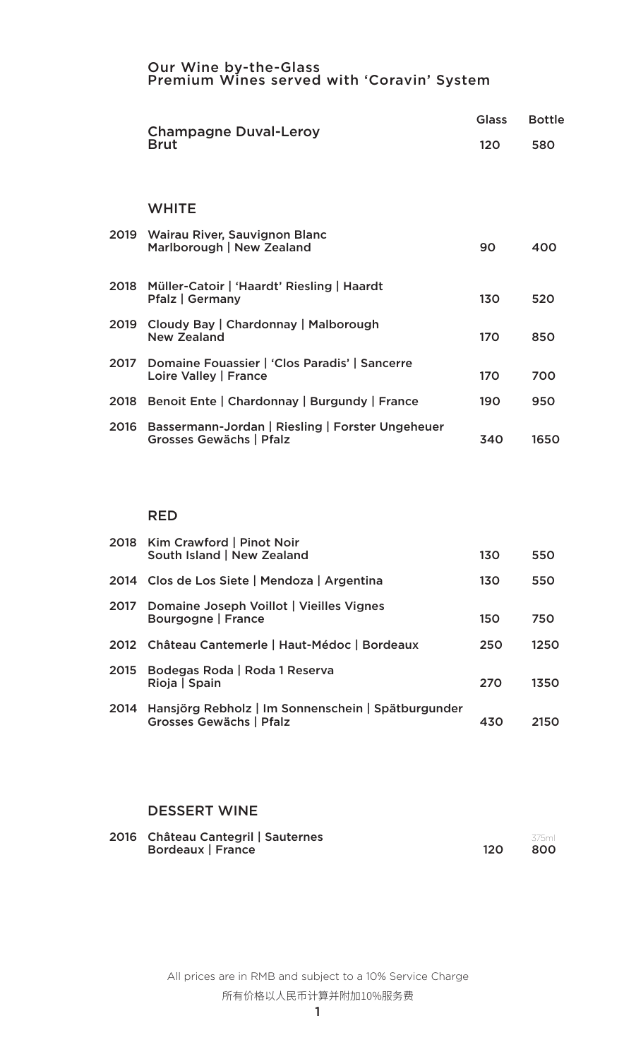#### Our Wine by-the-Glass Premium Wines served with 'Coravin' System

|      | <b>Champagne Duval-Leroy</b>                                                |                 | <b>Bottle</b> |
|------|-----------------------------------------------------------------------------|-----------------|---------------|
|      | <b>Brut</b>                                                                 | 120             | 580           |
|      |                                                                             |                 |               |
|      | <b>WHITE</b>                                                                |                 |               |
|      | 2019 Wairau River, Sauvignon Blanc<br>Marlborough   New Zealand             | 90              | 400           |
|      | 2018 Müller-Catoir   'Haardt' Riesling   Haardt<br><b>Pfalz   Germany</b>   | 130             | 520           |
| 2019 | Cloudy Bay   Chardonnay   Malborough<br><b>New Zealand</b>                  | <b>170</b>      | 850           |
| 2017 | Domaine Fouassier   'Clos Paradis'   Sancerre<br>Loire Valley   France      | 17 <sub>O</sub> | 700           |
|      | 2018 Benoit Ente   Chardonnay   Burgundy   France                           | 190             | 950           |
| 2016 | Bassermann-Jordan   Riesling   Forster Ungeheuer<br>Grosses Gewächs   Pfalz | 340             | 1650          |

#### RED

|      | 2018 Kim Crawford   Pinot Noir<br>South Island   New Zealand                         | 130        | 550  |
|------|--------------------------------------------------------------------------------------|------------|------|
|      | 2014 Clos de Los Siete   Mendoza   Argentina                                         | 130        | 550  |
| 2017 | Domaine Joseph Voillot   Vieilles Vignes<br>Bourgogne   France                       | <b>150</b> | 750  |
|      | 2012 Château Cantemerle   Haut-Médoc   Bordeaux                                      | 250        | 1250 |
|      | 2015 Bodegas Roda   Roda 1 Reserva<br>Rioja   Spain                                  | 270        | 1350 |
| 2014 | Hansjörg Rebholz   Im Sonnenschein   Spätburgunder<br><b>Grosses Gewächs   Pfalz</b> | 430        | 2150 |

### DESSERT WINE

| 2016 Château Cantegril   Sauternes | .375ml |
|------------------------------------|--------|
| <b>Bordeaux   France</b>           | -800   |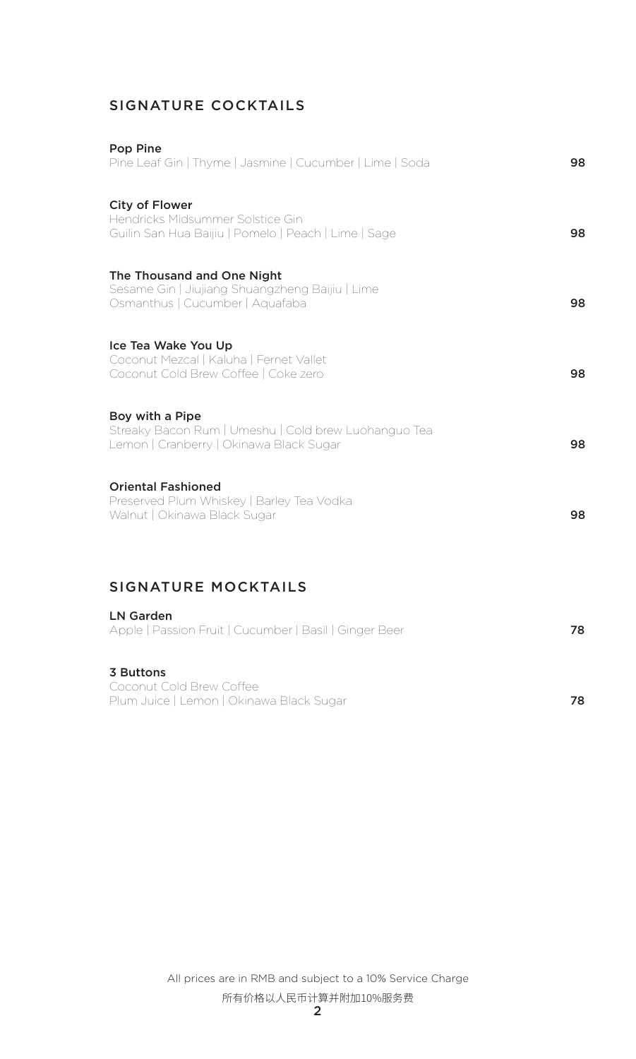# SIGNATURE COCKTAILS

| <b>Pop Pine</b><br>Pine Leaf Gin   Thyme   Jasmine   Cucumber   Lime   Soda                                        | 98 |
|--------------------------------------------------------------------------------------------------------------------|----|
| <b>City of Flower</b><br>Hendricks Midsummer Solstice Gin<br>Guilin San Hua Baijiu   Pomelo   Peach   Lime   Sage  | 98 |
| The Thousand and One Night<br>Sesame Gin   Jiujiang Shuangzheng Baijiu   Lime<br>Osmanthus   Cucumber   Aquafaba   | 98 |
| Ice Tea Wake You Up<br>Coconut Mezcal   Kaluha   Fernet Vallet<br>Coconut Cold Brew Coffee   Coke zero             | 98 |
| Boy with a Pipe<br>Streaky Bacon Rum   Umeshu   Cold brew Luohanguo Tea<br>Lemon   Cranberry   Okinawa Black Sugar | 98 |
| <b>Oriental Fashioned</b><br>Preserved Plum Whiskey   Barley Tea Vodka<br>Walnut   Okinawa Black Sugar             | 98 |
| <b>SIGNATURE MOCKTAILS</b>                                                                                         |    |
| <b>LN Garden</b><br>Apple   Passion Fruit   Cucumber   Basil   Ginger Beer                                         | 78 |
| 3 Buttons<br>Coconut Cold Brew Coffee                                                                              |    |

Coconut Cold Brew Coffee Plum Juice | Lemon | Okinawa Black Sugar 78

> All prices are in RMB and subject to a 10% Service Charge 所有价格以人民币计算并附加10%服务费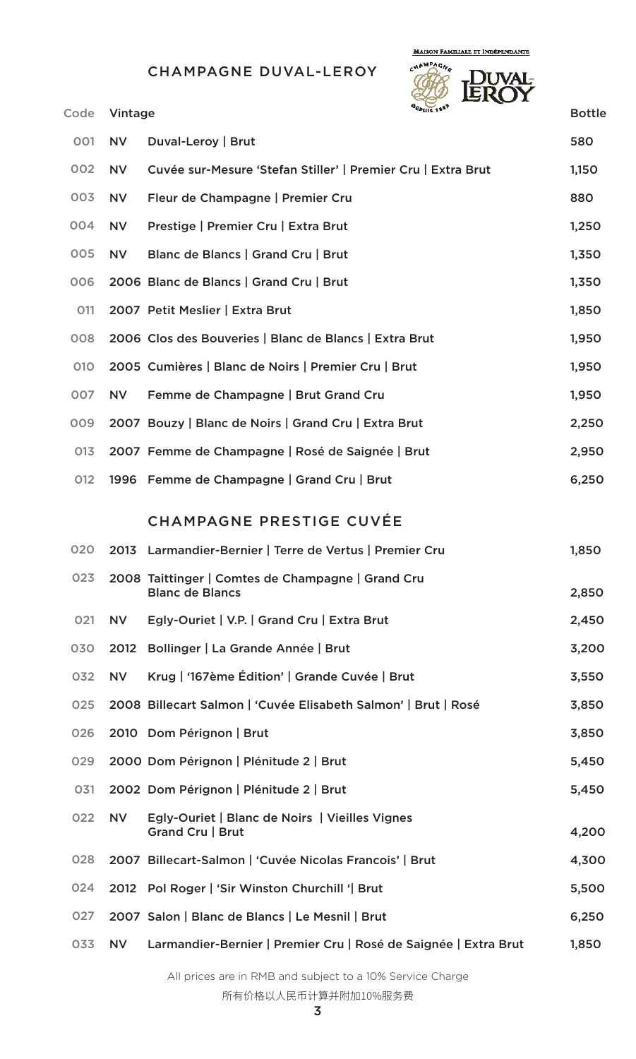CHAMPAGNE DUVAL-LEROY

**MAISON FAMILIALE ET INDÉPENDANTE** 



| Code | Vintage   |                                                                             | $o_{EPIIS}$ 1557 | <b>Bottle</b> |
|------|-----------|-----------------------------------------------------------------------------|------------------|---------------|
| 001  | <b>NV</b> | Duval-Leroy   Brut                                                          |                  | 580           |
| 002  | <b>NV</b> | Cuvée sur-Mesure 'Stefan Stiller'   Premier Cru   Extra Brut                |                  | 1,150         |
| 003  | <b>NV</b> | Fleur de Champagne   Premier Cru                                            |                  | 880           |
| 004  | <b>NV</b> | Prestige   Premier Cru   Extra Brut                                         |                  | 1,250         |
| 005  | <b>NV</b> | Blanc de Blancs   Grand Cru   Brut                                          |                  | 1,350         |
| 006  |           | 2006 Blanc de Blancs   Grand Cru   Brut                                     |                  | 1,350         |
| 011  |           | 2007 Petit Meslier   Extra Brut                                             |                  | 1,850         |
| 008  |           | 2006 Clos des Bouveries   Blanc de Blancs   Extra Brut                      |                  | 1,950         |
| 010  |           | 2005 Cumières   Blanc de Noirs   Premier Cru   Brut                         |                  | 1,950         |
| 007  | <b>NV</b> | Femme de Champagne   Brut Grand Cru                                         |                  | 1,950         |
| 009  |           | 2007 Bouzy   Blanc de Noirs   Grand Cru   Extra Brut                        |                  | 2,250         |
| 013  |           | 2007 Femme de Champagne   Rosé de Saignée   Brut                            |                  | 2,950         |
| 012  |           | 1996 Femme de Champagne   Grand Cru   Brut                                  |                  | 6,250         |
|      |           | <b>CHAMPAGNE PRESTIGE CUVÉE</b>                                             |                  |               |
| 020  |           | 2013 Larmandier-Bernier   Terre de Vertus   Premier Cru                     |                  | 1,850         |
| 023  |           | 2008 Taittinger   Comtes de Champagne   Grand Cru<br><b>Blanc de Blancs</b> |                  | 2,850         |
| 021  | <b>NV</b> | Egly-Ouriet   V.P.   Grand Cru   Extra Brut                                 |                  | 2,450         |
| 030  | 2012      | Bollinger   La Grande Année   Brut                                          |                  | 3,200         |
| 032  | <b>NV</b> | Krug   '167ème Édition'   Grande Cuvée   Brut                               |                  | 3,550         |
| 025  |           | 2008 Billecart Salmon   'Cuvée Elisabeth Salmon'   Brut   Rosé              |                  | 3,850         |
| 026  |           | 2010 Dom Pérignon   Brut                                                    |                  | 3,850         |
| 029  |           | 2000 Dom Pérignon   Plénitude 2   Brut                                      |                  | 5,450         |
| 031  |           | 2002 Dom Pérignon   Plénitude 2   Brut                                      |                  | 5,450         |
| 022  | <b>NV</b> | Egly-Ouriet   Blanc de Noirs   Vieilles Vignes<br>Grand Cru   Brut          |                  | 4,200         |
| 028  |           | 2007 Billecart-Salmon   'Cuvée Nicolas Francois'   Brut                     |                  | 4,300         |
| 024  |           | 2012 Pol Roger   'Sir Winston Churchill '  Brut                             |                  | 5,500         |
| 027  |           | 2007 Salon   Blanc de Blancs   Le Mesnil   Brut                             |                  | 6,250         |
| 033  | <b>NV</b> | Larmandier-Bernier   Premier Cru   Rosé de Saignée   Extra Brut             |                  | 1,850         |
|      |           |                                                                             |                  |               |

All prices are in RMB and subject to a 10% Service Charge

所有价格以人民币计算并附加10%服务费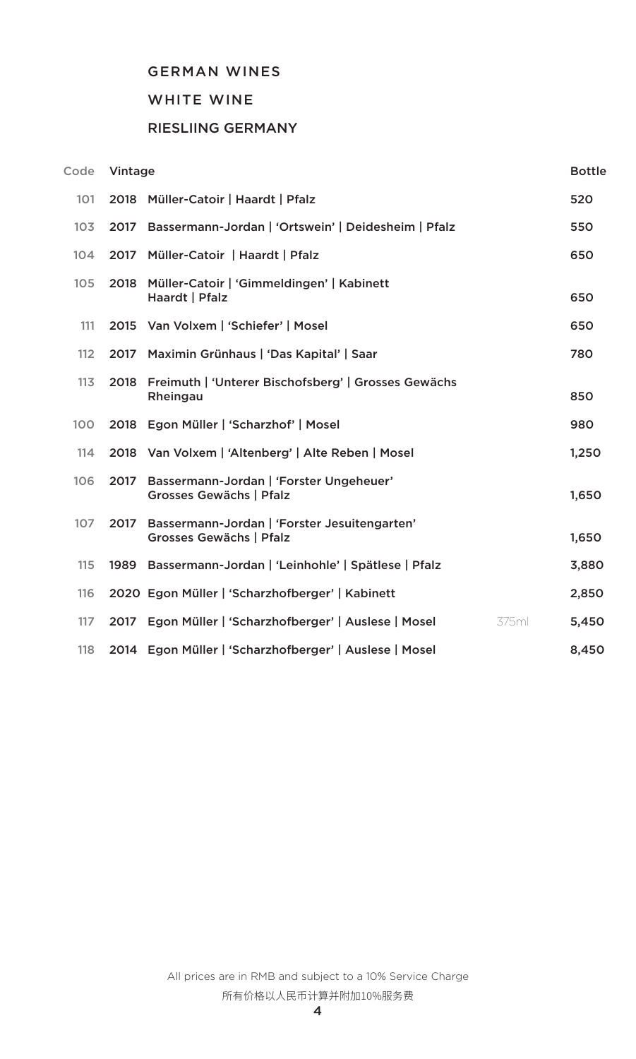### GERMAN WINES

### WHITE WINE

## RIESLIING GERMANY

| Code | Vintage |                                                                         |       |
|------|---------|-------------------------------------------------------------------------|-------|
| 101  |         | 2018 Müller-Catoir   Haardt   Pfalz                                     | 520   |
| 103  | 2017    | Bassermann-Jordan   'Ortswein'   Deidesheim   Pfalz                     | 550   |
| 104  | 2017    | Müller-Catoir   Haardt   Pfalz                                          | 650   |
| 105  | 2018    | Müller-Catoir   'Gimmeldingen'   Kabinett<br>Haardt   Pfalz             | 650   |
| 111  |         | 2015 Van Volxem   'Schiefer'   Mosel                                    | 650   |
| 112  |         | 2017 Maximin Grünhaus   'Das Kapital'   Saar                            | 780   |
| 113  | 2018    | Freimuth   'Unterer Bischofsberg'   Grosses Gewächs<br>Rheingau         | 850   |
| 100  |         | 2018 Egon Müller   'Scharzhof'   Mosel                                  | 980   |
| 114  |         | 2018 Van Volxem   'Altenberg'   Alte Reben   Mosel                      | 1,250 |
| 106  | 2017    | Bassermann-Jordan   'Forster Ungeheuer'<br>Grosses Gewächs   Pfalz      | 1,650 |
| 107  | 2017    | Bassermann-Jordan   'Forster Jesuitengarten'<br>Grosses Gewächs   Pfalz | 1,650 |
| 115  | 1989    | Bassermann-Jordan   'Leinhohle'   Spätlese   Pfalz                      | 3,880 |
| 116  |         | 2020 Egon Müller   'Scharzhofberger'   Kabinett                         | 2,850 |
| 117  | 2017    | Egon Müller   'Scharzhofberger'   Auslese   Mosel<br>375ml              | 5,450 |
| 118  |         | 2014 Egon Müller   'Scharzhofberger'   Auslese   Mosel                  | 8,450 |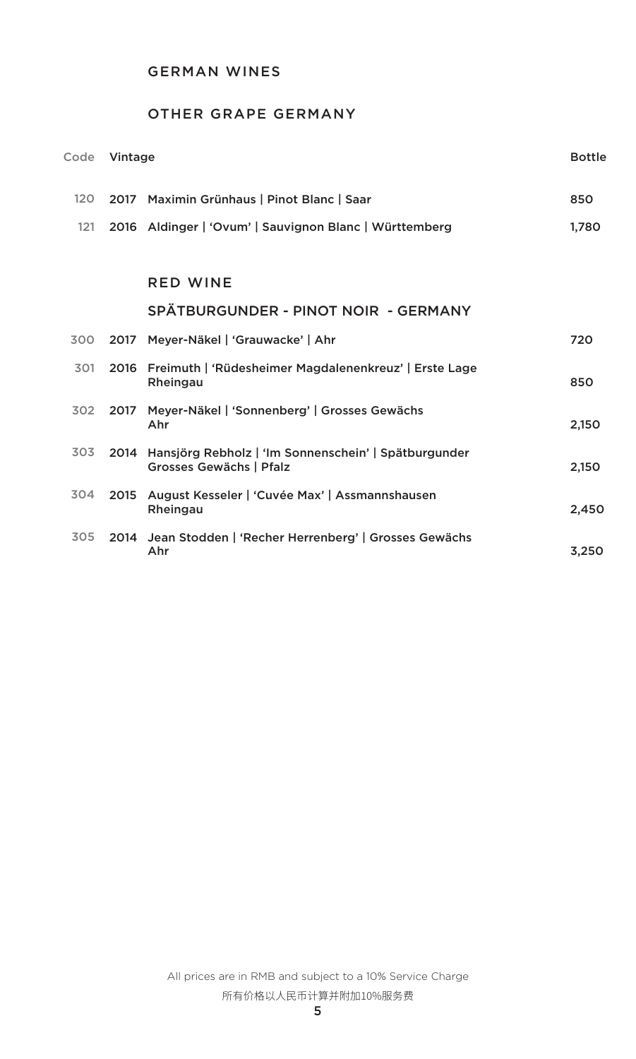### GERMAN WINES

# OTHER GRAPE GERMANY

| Code |      | Vintage                                                                              |       |  |
|------|------|--------------------------------------------------------------------------------------|-------|--|
| 120  |      | 2017 Maximin Grünhaus   Pinot Blanc   Saar                                           | 850   |  |
| 121  |      | 2016 Aldinger   'Ovum'   Sauvignon Blanc   Württemberg                               | 1,780 |  |
|      |      |                                                                                      |       |  |
|      |      | <b>RED WINE</b>                                                                      |       |  |
|      |      | SPÄTBURGUNDER - PINOT NOIR - GERMANY                                                 |       |  |
| 300  |      | 2017 Meyer-Näkel   'Grauwacke'   Ahr                                                 | 720   |  |
| 301  |      | 2016 Freimuth   'Rüdesheimer Magdalenenkreuz'   Erste Lage<br>Rheingau               | 850   |  |
| 302  |      | 2017 Meyer-Näkel   'Sonnenberg'   Grosses Gewächs<br>Ahr                             | 2,150 |  |
| 303  |      | 2014 Hansjörg Rebholz   'Im Sonnenschein'   Spätburgunder<br>Grosses Gewächs   Pfalz | 2,150 |  |
| 304  | 2015 | August Kesseler   'Cuvée Max'   Assmannshausen<br>Rheingau                           | 2,450 |  |
| 305  |      | 2014 Jean Stodden   'Recher Herrenberg'   Grosses Gewächs<br>Ahr                     | 3,250 |  |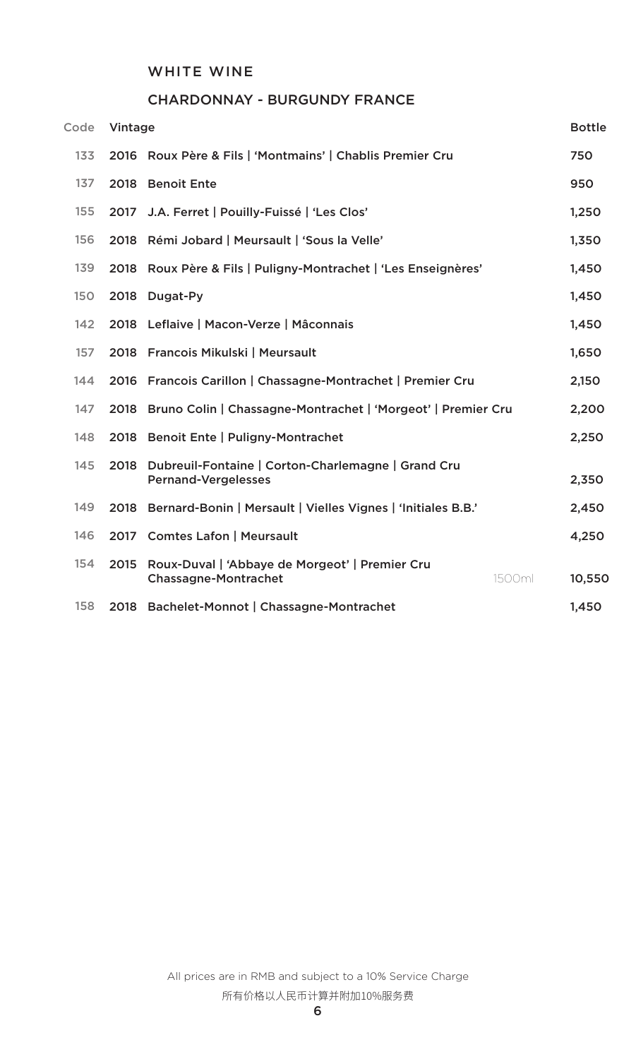### WHITE WINE

### CHARDONNAY - BURGUNDY FRANCE

| Code       | Vintage |                                                                                  |        | <b>Bottle</b> |
|------------|---------|----------------------------------------------------------------------------------|--------|---------------|
| 133        |         | 2016 Roux Père & Fils   'Montmains'   Chablis Premier Cru                        |        | 750           |
| 137        |         | 2018 Benoit Ente                                                                 |        | 950           |
| 155        |         | 2017 J.A. Ferret   Pouilly-Fuissé   'Les Clos'                                   |        | 1,250         |
| 156        | 2018    | Rémi Jobard   Meursault   'Sous la Velle'                                        |        | 1,350         |
| 139        | 2018    | Roux Père & Fils   Puligny-Montrachet   'Les Enseignères'                        |        | 1,450         |
| <b>150</b> |         | 2018 Dugat-Py                                                                    |        | 1,450         |
| 142        |         | 2018 Leflaive   Macon-Verze   Mâconnais                                          |        | 1,450         |
| 157        |         | 2018 Francois Mikulski   Meursault                                               |        | 1,650         |
| 144        |         | 2016 Francois Carillon   Chassagne-Montrachet   Premier Cru                      |        | 2,150         |
| 147        |         | 2018 Bruno Colin   Chassagne-Montrachet   'Morgeot'   Premier Cru                |        | 2,200         |
| 148        |         | 2018 Benoit Ente   Puligny-Montrachet                                            |        | 2,250         |
| 145        | 2018    | Dubreuil-Fontaine   Corton-Charlemagne   Grand Cru<br><b>Pernand-Vergelesses</b> |        | 2,350         |
| 149        |         | 2018 Bernard-Bonin   Mersault   Vielles Vignes   'Initiales B.B.'                |        | 2,450         |
| 146        |         | 2017 Comtes Lafon   Meursault                                                    |        | 4,250         |
| 154        | 2015    | Roux-Duval   'Abbaye de Morgeot'   Premier Cru<br><b>Chassagne-Montrachet</b>    | 1500ml | 10,550        |
| 158        | 2018    | Bachelet-Monnot   Chassagne-Montrachet                                           |        | 1,450         |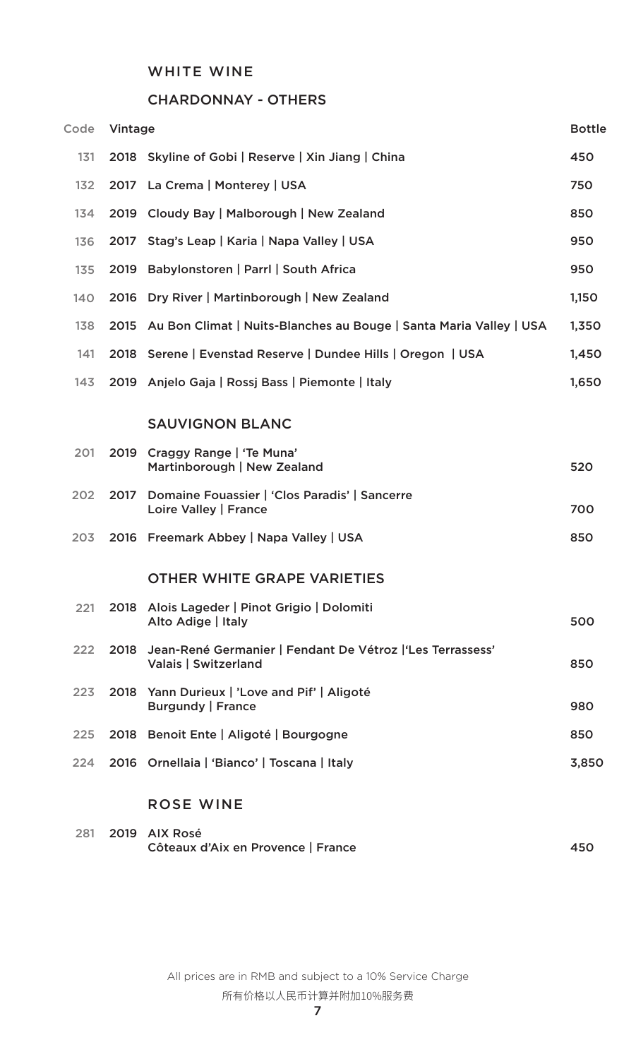### WHITE WINE

# CHARDONNAY - OTHERS

| Code | Vintage |                                                                                         | <b>Bottle</b> |
|------|---------|-----------------------------------------------------------------------------------------|---------------|
| 131  |         | 2018 Skyline of Gobi   Reserve   Xin Jiang   China                                      | 450           |
| 132  |         | 2017 La Crema   Monterey   USA                                                          | 750           |
| 134  |         | 2019 Cloudy Bay   Malborough   New Zealand                                              | 850           |
| 136  |         | 2017 Stag's Leap   Karia   Napa Valley   USA                                            | 950           |
| 135  |         | 2019 Babylonstoren   Parrl   South Africa                                               | 950           |
| 140  |         | 2016 Dry River   Martinborough   New Zealand                                            | 1,150         |
| 138  |         | 2015 Au Bon Climat   Nuits-Blanches au Bouge   Santa Maria Valley   USA                 | 1,350         |
| 141  |         | 2018 Serene   Evenstad Reserve   Dundee Hills   Oregon   USA                            | 1,450         |
| 143  |         | 2019 Anjelo Gaja   Rossj Bass   Piemonte   Italy                                        | 1,650         |
|      |         | <b>SAUVIGNON BLANC</b>                                                                  |               |
| 201  | 2019    | Craggy Range   'Te Muna'<br>Martinborough   New Zealand                                 | 520           |
| 202  | 2017    | Domaine Fouassier   'Clos Paradis'   Sancerre<br>Loire Valley   France                  | 700           |
| 203  |         | 2016 Freemark Abbey   Napa Valley   USA                                                 | 850           |
|      |         | <b>OTHER WHITE GRAPE VARIETIES</b>                                                      |               |
| 221  |         | 2018 Alois Lageder   Pinot Grigio   Dolomiti<br>Alto Adige   Italy                      | 500           |
| 222  |         | 2018 Jean-René Germanier   Fendant De Vétroz   'Les Terrassess'<br>Valais   Switzerland | 850           |
| 223  |         | 2018 Yann Durieux   'Love and Pif'   Aligoté<br><b>Burgundy   France</b>                | 980           |
| 225  |         | 2018 Benoit Ente   Aligoté   Bourgogne                                                  | 850           |
| 224  |         | 2016 Ornellaia   'Bianco'   Toscana   Italy                                             | 3,850         |
|      |         | <b>ROSE WINE</b>                                                                        |               |
| 281  |         | 2019 AIX Rosé                                                                           |               |

|  | 281 2019 AIX Rosé                  |     |
|--|------------------------------------|-----|
|  | Côteaux d'Aix en Provence   France | 450 |

All prices are in RMB and subject to a 10% Service Charge 所有价格以人民币计算并附加10%服务费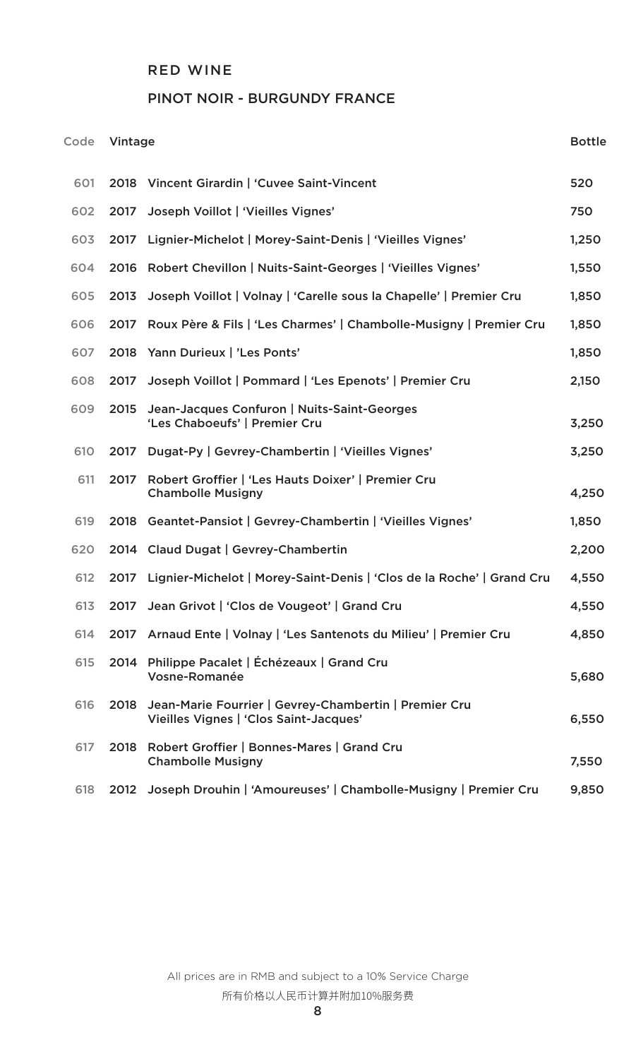## PINOT NOIR - BURGUNDY FRANCE

| Code |      | Vintage                                                                                         |       |  |
|------|------|-------------------------------------------------------------------------------------------------|-------|--|
| 601  |      | 2018 Vincent Girardin   'Cuvee Saint-Vincent                                                    | 520   |  |
| 602  | 2017 | Joseph Voillot   'Vieilles Vignes'                                                              | 750   |  |
| 603  | 2017 | Lignier-Michelot   Morey-Saint-Denis   'Vieilles Vignes'                                        | 1,250 |  |
| 604  |      | 2016 Robert Chevillon   Nuits-Saint-Georges   'Vieilles Vignes'                                 | 1,550 |  |
| 605  | 2013 | Joseph Voillot   Volnay   'Carelle sous la Chapelle'   Premier Cru                              | 1,850 |  |
| 606  | 2017 | Roux Père & Fils   'Les Charmes'   Chambolle-Musigny   Premier Cru                              | 1,850 |  |
| 607  |      | 2018 Yann Durieux   'Les Ponts'                                                                 | 1,850 |  |
| 608  | 2017 | Joseph Voillot   Pommard   'Les Epenots'   Premier Cru                                          | 2,150 |  |
| 609  | 2015 | Jean-Jacques Confuron   Nuits-Saint-Georges<br>'Les Chaboeufs'   Premier Cru                    | 3,250 |  |
| 610  | 2017 | Dugat-Py   Gevrey-Chambertin   'Vieilles Vignes'                                                | 3,250 |  |
| 611  | 2017 | Robert Groffier   'Les Hauts Doixer'   Premier Cru<br><b>Chambolle Musigny</b>                  | 4,250 |  |
| 619  |      | 2018 Geantet-Pansiot   Gevrey-Chambertin   'Vieilles Vignes'                                    | 1,850 |  |
| 620  |      | 2014 Claud Dugat   Gevrey-Chambertin                                                            | 2,200 |  |
| 612  | 2017 | Lignier-Michelot   Morey-Saint-Denis   'Clos de la Roche'   Grand Cru                           | 4,550 |  |
| 613  |      | 2017 Jean Grivot   'Clos de Vougeot'   Grand Cru                                                | 4,550 |  |
| 614  |      | 2017 Arnaud Ente   Volnay   'Les Santenots du Milieu'   Premier Cru                             | 4,850 |  |
| 615  |      | 2014 Philippe Pacalet   Échézeaux   Grand Cru<br>Vosne-Romanée                                  | 5,680 |  |
| 616  | 2018 | Jean-Marie Fourrier   Gevrey-Chambertin   Premier Cru<br>Vieilles Vignes   'Clos Saint-Jacques' | 6,550 |  |
| 617  |      | 2018 Robert Groffier   Bonnes-Mares   Grand Cru<br><b>Chambolle Musigny</b>                     | 7,550 |  |
| 618  |      | 2012 Joseph Drouhin   'Amoureuses'   Chambolle-Musigny   Premier Cru                            | 9,850 |  |

All prices are in RMB and subject to a 10% Service Charge 所有价格以人民币计算并附加10%服务费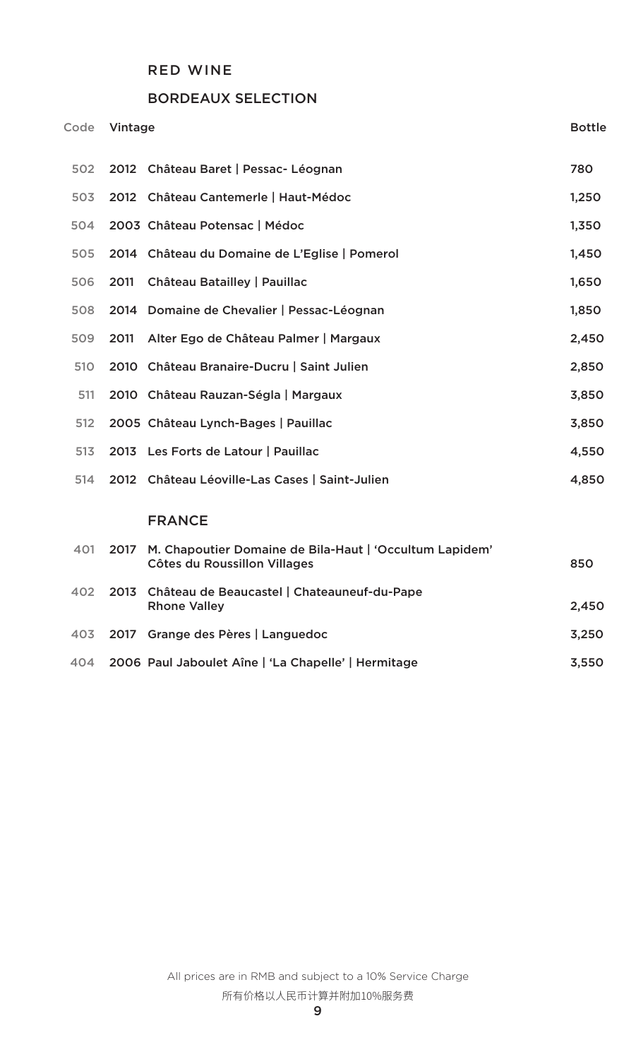## BORDEAUX SELECTION

| Code |      | Vintage                                                                                 |       |  |
|------|------|-----------------------------------------------------------------------------------------|-------|--|
| 502  |      | 2012 Château Baret   Pessac- Léognan                                                    | 780   |  |
| 503  |      | 2012 Château Cantemerle   Haut-Médoc                                                    | 1,250 |  |
| 504  |      | 2003 Château Potensac   Médoc                                                           | 1,350 |  |
| 505  |      | 2014 Château du Domaine de L'Eglise   Pomerol                                           | 1,450 |  |
| 506  | 2011 | Château Batailley   Pauillac                                                            | 1,650 |  |
| 508  |      | 2014 Domaine de Chevalier   Pessac-Léognan                                              | 1,850 |  |
| 509  | 2011 | Alter Ego de Château Palmer   Margaux                                                   | 2,450 |  |
| 510  |      | 2010 Château Branaire-Ducru   Saint Julien                                              | 2,850 |  |
| 511  |      | 2010 Château Rauzan-Ségla   Margaux                                                     | 3,850 |  |
| 512  |      | 2005 Château Lynch-Bages   Pauillac                                                     | 3,850 |  |
| 513  |      | 2013 Les Forts de Latour   Pauillac                                                     | 4,550 |  |
| 514  |      | 2012 Château Léoville-Las Cases   Saint-Julien                                          | 4,850 |  |
|      |      | <b>FRANCE</b>                                                                           |       |  |
| 401  | 2017 | M. Chapoutier Domaine de Bila-Haut   'Occultum Lapidem'<br>Côtes du Roussillon Villages | 850   |  |
| 402  | 2013 | Château de Beaucastel   Chateauneuf-du-Pape<br><b>Rhone Valley</b>                      | 2,450 |  |
| 403  | 2017 | Grange des Pères   Languedoc                                                            | 3,250 |  |
| 404  |      | 2006 Paul Jaboulet Aîne   'La Chapelle'   Hermitage                                     | 3,550 |  |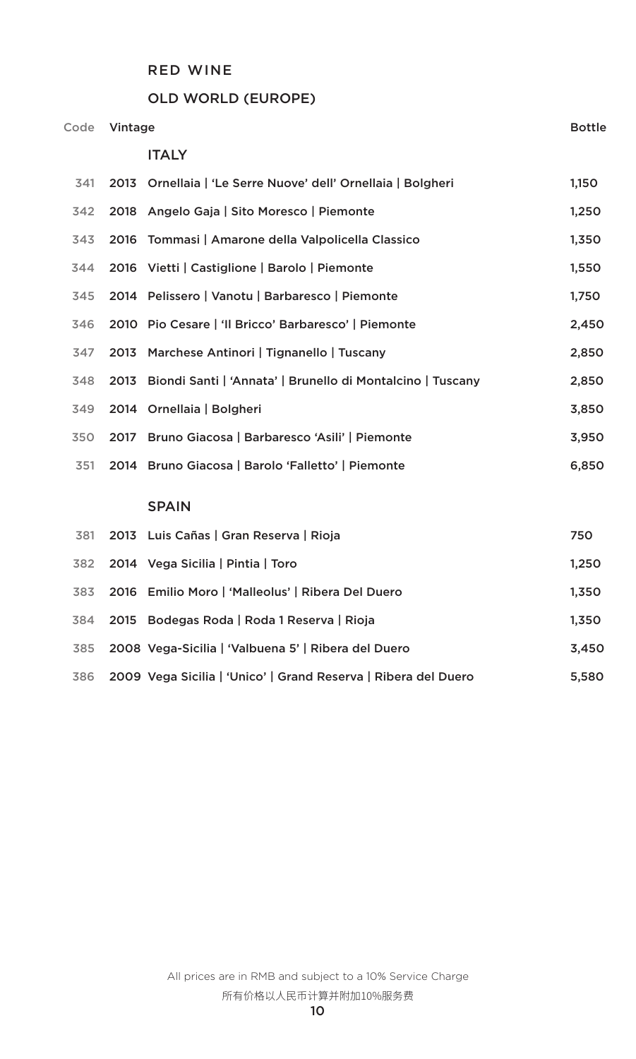### OLD WORLD (EUROPE)

| Code | Vintage |                                                              | <b>Bottle</b> |
|------|---------|--------------------------------------------------------------|---------------|
|      |         | <b>ITALY</b>                                                 |               |
| 341  |         | 2013 Ornellaia   'Le Serre Nuove' dell' Ornellaia   Bolgheri | 1,150         |
| 342  |         | 2018 Angelo Gaja   Sito Moresco   Piemonte                   | 1,250         |
| 343  | 2016    | Tommasi   Amarone della Valpolicella Classico                | 1,350         |
| 344  |         | 2016 Vietti   Castiglione   Barolo   Piemonte                | 1,550         |
| 345  |         | 2014 Pelissero   Vanotu   Barbaresco   Piemonte              | 1,750         |
| 346  |         | 2010 Pio Cesare   'Il Bricco' Barbaresco'   Piemonte         | 2,450         |
| 347  | 2013    | Marchese Antinori   Tignanello   Tuscany                     | 2,850         |
| 348  | 2013    | Biondi Santi   'Annata'   Brunello di Montalcino   Tuscany   | 2,850         |
| 349  |         | 2014 Ornellaia   Bolgheri                                    | 3,850         |
| 350  |         | 2017 Bruno Giacosa   Barbaresco 'Asili'   Piemonte           | 3,950         |
| 351  |         | 2014 Bruno Giacosa   Barolo 'Falletto'   Piemonte            | 6,850         |
|      |         | <b>SPAIN</b>                                                 |               |
| 381  |         | 2013 Luis Cañas   Gran Reserva   Rioja                       | 750           |
| 382  |         | 2014 Vega Sicilia   Pintia   Toro                            | 1,250         |
| 383  |         | 2016 Emilio Moro   'Malleolus'   Ribera Del Duero            | 1,350         |
| 384  | 2015    | Bodegas Roda   Roda 1 Reserva   Rioja                        | 1,350         |
| 385  |         | 2008 Vega-Sicilia   'Valbuena 5'   Ribera del Duero          | 3,450         |

2009 Vega Sicilia | 'Unico' | Grand Reserva | Ribera del Duero 5,580 386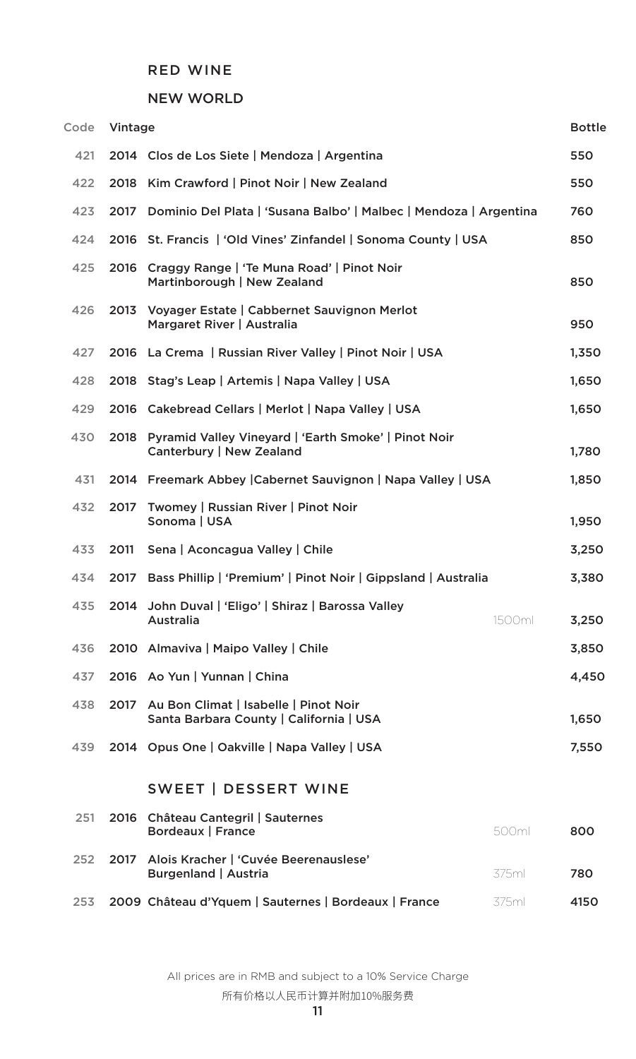### NEW WORLD

| Code | Vintage |                                                                                       |        | <b>Bottle</b> |
|------|---------|---------------------------------------------------------------------------------------|--------|---------------|
| 421  |         | 2014 Clos de Los Siete   Mendoza   Argentina                                          |        | 550           |
| 422  |         | 2018 Kim Crawford   Pinot Noir   New Zealand                                          |        | 550           |
| 423  | 2017    | Dominio Del Plata   'Susana Balbo'   Malbec   Mendoza   Argentina                     |        | 760           |
| 424  |         | 2016 St. Francis   'Old Vines' Zinfandel   Sonoma County   USA                        |        | 850           |
| 425  |         | 2016 Craggy Range   'Te Muna Road'   Pinot Noir<br>Martinborough   New Zealand        |        | 850           |
| 426  |         | 2013 Voyager Estate   Cabbernet Sauvignon Merlot<br>Margaret River   Australia        |        | 950           |
| 427  |         | 2016 La Crema   Russian River Valley   Pinot Noir   USA                               |        | 1,350         |
| 428  |         | 2018 Stag's Leap   Artemis   Napa Valley   USA                                        |        | 1,650         |
| 429  |         | 2016 Cakebread Cellars   Merlot   Napa Valley   USA                                   |        | 1,650         |
| 430  |         | 2018 Pyramid Valley Vineyard   'Earth Smoke'   Pinot Noir<br>Canterbury   New Zealand |        | 1,780         |
| 431  |         | 2014 Freemark Abbey   Cabernet Sauvignon   Napa Valley   USA                          |        | 1,850         |
| 432  | 2017    | Twomey   Russian River   Pinot Noir<br>Sonoma   USA                                   |        | 1,950         |
| 433  | 2011    | Sena   Aconcagua Valley   Chile                                                       |        | 3,250         |
| 434  | 2017    | Bass Phillip   'Premium'   Pinot Noir   Gippsland   Australia                         |        | 3,380         |
| 435  |         | 2014 John Duval   'Eligo'   Shiraz   Barossa Valley<br>Australia                      | 1500ml | 3,250         |
| 436  |         | 2010 Almaviva   Maipo Valley   Chile                                                  |        | 3,850         |
| 437  |         | 2016 Ao Yun   Yunnan   China                                                          |        | 4,450         |
| 438  |         | 2017 Au Bon Climat   Isabelle   Pinot Noir<br>Santa Barbara County   California   USA |        | 1,650         |
| 439  |         | 2014 Opus One   Oakville   Napa Valley   USA                                          |        | 7,550         |
|      |         | SWEET   DESSERT WINE                                                                  |        |               |
| 251  |         | 2016 Château Cantegril   Sauternes<br><b>Bordeaux   France</b>                        | 500ml  | 800           |
| 252  | 2017    | Alois Kracher   'Cuvée Beerenauslese'<br><b>Burgenland   Austria</b>                  | 375ml  | 780           |
| 253  |         | 2009 Château d'Yquem   Sauternes   Bordeaux   France                                  | 375ml  | 4150          |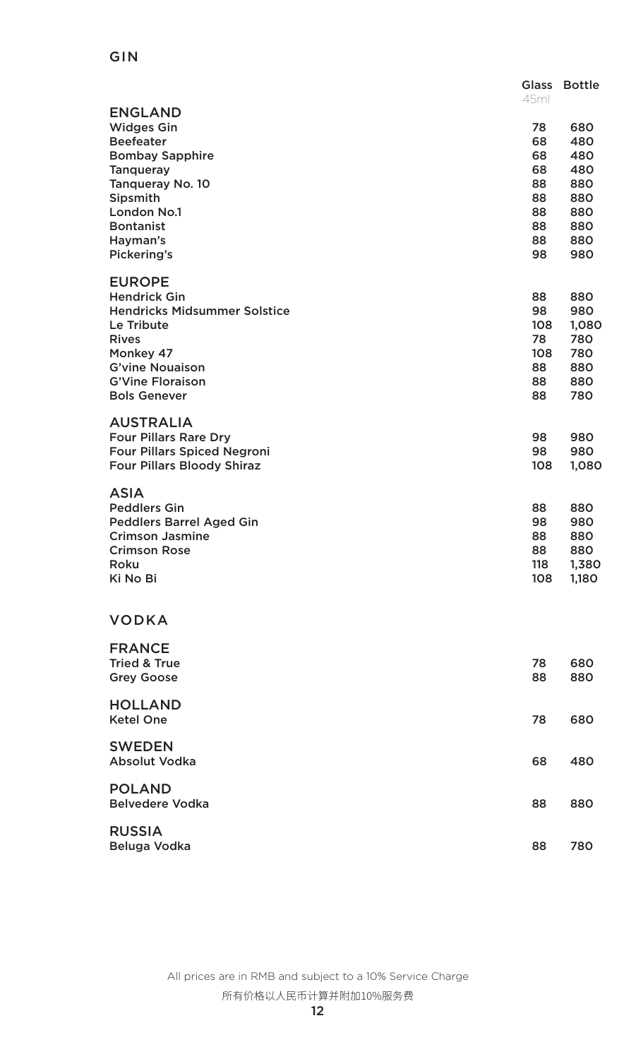## GIN

|                                         | <b>Glass</b><br>45ml | <b>Bottle</b> |
|-----------------------------------------|----------------------|---------------|
| <b>ENGLAND</b><br><b>Widges Gin</b>     | 78                   | 680           |
| <b>Beefeater</b>                        | 68                   | 480           |
| <b>Bombay Sapphire</b>                  | 68                   | 480           |
| <b>Tanqueray</b>                        | 68                   | 480           |
| <b>Tanqueray No. 10</b>                 | 88                   | 880           |
| Sipsmith                                | 88                   | 880           |
| <b>London No.1</b>                      | 88                   | 880           |
| <b>Bontanist</b><br>Hayman's            | 88<br>88             | 880<br>880    |
| Pickering's                             | 98                   | 980           |
| <b>EUROPE</b>                           |                      |               |
| <b>Hendrick Gin</b>                     | 88                   | 880           |
| <b>Hendricks Midsummer Solstice</b>     | 98                   | 980           |
| Le Tribute                              | 108                  | 1,080         |
| <b>Rives</b>                            | 78                   | 780           |
| Monkey 47<br><b>G'vine Nouaison</b>     | 108<br>88            | 780<br>880    |
| <b>G'Vine Floraison</b>                 | 88                   | 880           |
| <b>Bols Genever</b>                     | 88                   | 780           |
| <b>AUSTRALIA</b>                        |                      |               |
| <b>Four Pillars Rare Dry</b>            | 98                   | 980           |
| <b>Four Pillars Spiced Negroni</b>      | 98                   | 980           |
| <b>Four Pillars Bloody Shiraz</b>       | 108                  | 1,080         |
| <b>ASIA</b>                             |                      |               |
| <b>Peddlers Gin</b>                     | 88                   | 880           |
| <b>Peddlers Barrel Aged Gin</b>         | 98                   | 980           |
| <b>Crimson Jasmine</b>                  | 88                   | 880           |
| <b>Crimson Rose</b><br>Roku             | 88<br>118            | 880<br>1,380  |
| Ki No Bi                                | 108                  | 1,180         |
|                                         |                      |               |
| <b>VODKA</b>                            |                      |               |
| <b>FRANCE</b>                           |                      |               |
| <b>Tried &amp; True</b>                 | 78                   | 680           |
| <b>Grey Goose</b>                       | 88                   | 880           |
| <b>HOLLAND</b>                          |                      |               |
| <b>Ketel One</b>                        | 78                   | 680           |
| <b>SWEDEN</b>                           |                      |               |
| <b>Absolut Vodka</b>                    | 68                   | 480           |
| <b>POLAND</b><br><b>Belvedere Vodka</b> | 88                   | 880           |
|                                         |                      |               |
| <b>RUSSIA</b><br>Beluga Vodka           | 88                   | 780           |
|                                         |                      |               |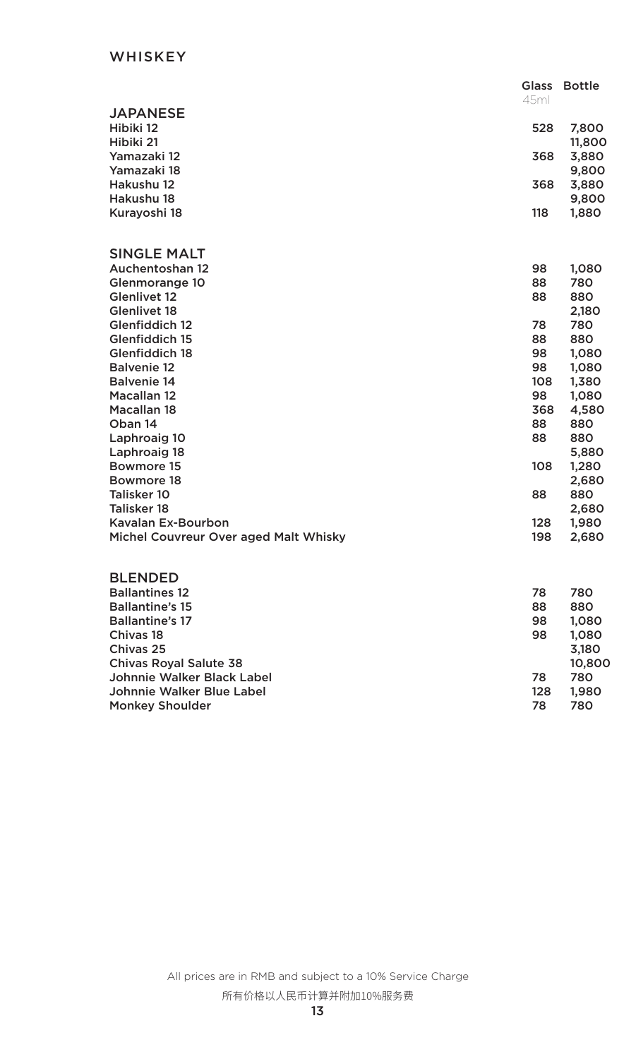## **WHISKEY**

|                                       | <b>Glass</b> | <b>Bottle</b> |
|---------------------------------------|--------------|---------------|
|                                       | 45ml         |               |
| <b>JAPANESE</b>                       |              |               |
| Hibiki 12                             | 528          | 7,800         |
| Hibiki 21                             |              | 11,800        |
| Yamazaki 12                           | 368          | 3,880         |
| Yamazaki 18                           |              | 9,800         |
| Hakushu 12                            | 368          | 3,880         |
| Hakushu 18                            |              | 9,800         |
| Kurayoshi 18                          | 118          | 1,880         |
|                                       |              |               |
|                                       |              |               |
| <b>SINGLE MALT</b>                    |              |               |
| <b>Auchentoshan 12</b>                | 98           | 1,080         |
| <b>Glenmorange 10</b>                 | 88           | 780           |
| <b>Glenlivet 12</b>                   | 88           | 880           |
| <b>Glenlivet 18</b>                   |              | 2,180         |
| <b>Glenfiddich 12</b>                 | 78           | 780           |
| <b>Glenfiddich 15</b>                 | 88           | 880           |
| <b>Glenfiddich 18</b>                 | 98           | 1,080         |
| <b>Balvenie 12</b>                    | 98           | 1,080         |
| <b>Balvenie 14</b>                    | 108          | 1,380         |
| <b>Macallan 12</b>                    | 98           | 1,080         |
| <b>Macallan 18</b>                    | 368          | 4,580         |
| Oban 14                               | 88           | 880           |
| Laphroaig 10                          | 88           | 880           |
| Laphroaig 18                          |              | 5,880         |
| <b>Bowmore 15</b>                     | 108          | 1,280         |
| <b>Bowmore 18</b>                     |              | 2,680         |
| <b>Talisker 10</b>                    | 88           | 880           |
| <b>Talisker 18</b>                    |              | 2,680         |
| <b>Kavalan Ex-Bourbon</b>             | 128          | 1,980         |
| Michel Couvreur Over aged Malt Whisky | 198          | 2,680         |
|                                       |              |               |

## BLENDED

| <b>Ballantines 12</b>         | 78  | 780    |
|-------------------------------|-----|--------|
| <b>Ballantine's 15</b>        | 88  | 880    |
| <b>Ballantine's 17</b>        | 98  | 1,080  |
| Chivas 18                     | 98  | 1,080  |
| Chivas 25                     |     | 3,180  |
| <b>Chivas Royal Salute 38</b> |     | 10,800 |
| Johnnie Walker Black Label    | 78  | 780    |
| Johnnie Walker Blue Label     | 128 | 1,980  |
| <b>Monkey Shoulder</b>        | 78  | 780    |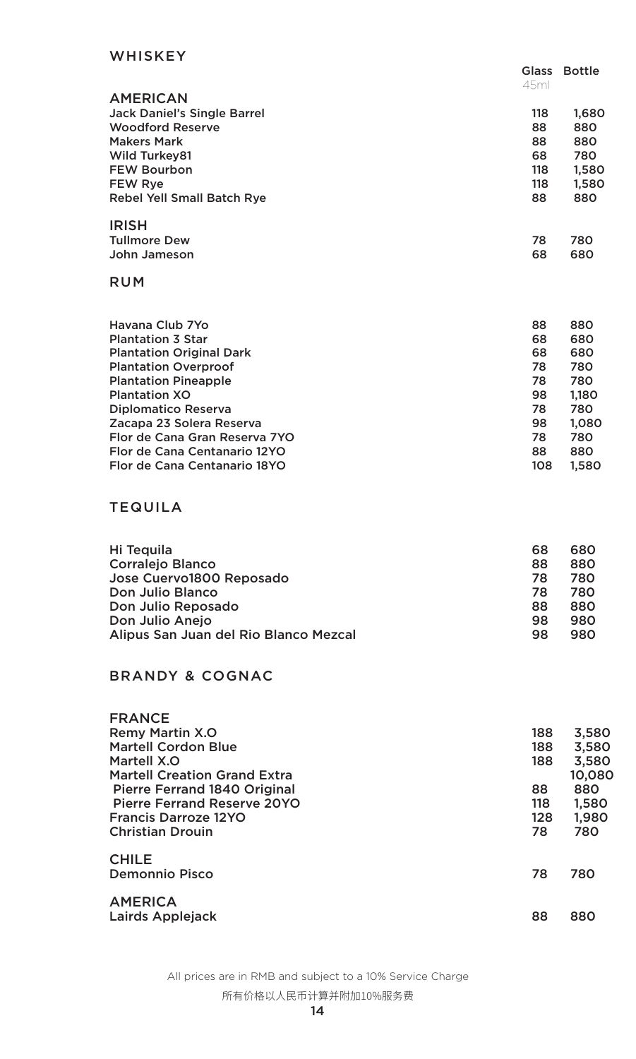## WHISKEY

|     | Glass Bottle |
|-----|--------------|
|     |              |
|     |              |
|     | 1,680        |
| 88  | 880          |
| 88  | 880          |
| 68  | 780          |
| 118 | 1,580        |
| 118 | 1,580        |
| 88  | 880          |
|     |              |
| 78  | 780          |
| 68  | 680          |
|     | 45ml<br>118  |

## RUM

| Havana Club 7Yo                 | 88  | 880   |
|---------------------------------|-----|-------|
| <b>Plantation 3 Star</b>        | 68  | 680   |
| <b>Plantation Original Dark</b> | 68  | 680   |
| <b>Plantation Overproof</b>     | 78  | 780   |
| <b>Plantation Pineapple</b>     | 78  | 780   |
| <b>Plantation XO</b>            | 98  | 1,180 |
| <b>Diplomatico Reserva</b>      | 78  | 780   |
| Zacapa 23 Solera Reserva        | 98  | 1,080 |
| Flor de Cana Gran Reserva 7YO   | 78  | 780   |
| Flor de Cana Centanario 12YO    | 88  | 880   |
| Flor de Cana Centanario 18YO    | 108 | 1,580 |
|                                 |     |       |

## TEQUILA

| Hi Tequila                            | 68 | 680 |
|---------------------------------------|----|-----|
| <b>Corralejo Blanco</b>               | 88 | 880 |
| Jose Cuervo1800 Reposado              | 78 | 780 |
| Don Julio Blanco                      | 78 | 780 |
| Don Julio Reposado                    | 88 | 880 |
| Don Julio Anejo                       | 98 | 980 |
| Alipus San Juan del Rio Blanco Mezcal | 98 | 980 |

## BRANDY & COGNAC

| <b>FRANCE</b>                       |     |        |
|-------------------------------------|-----|--------|
| <b>Remy Martin X.O</b>              | 188 | 3,580  |
| <b>Martell Cordon Blue</b>          | 188 | 3,580  |
| Martell X.O                         | 188 | 3,580  |
| <b>Martell Creation Grand Extra</b> |     | 10,080 |
| <b>Pierre Ferrand 1840 Original</b> | 88  | 880    |
| <b>Pierre Ferrand Reserve 20YO</b>  | 118 | 1,580  |
| <b>Francis Darroze 12YO</b>         | 128 | 1,980  |
| <b>Christian Drouin</b>             | 78  | 780    |
| <b>CHILE</b>                        |     |        |
| <b>Demonnio Pisco</b>               | 78  | 780    |
| <b>AMERICA</b>                      |     |        |
| Lairds Applejack                    | 88  | 880    |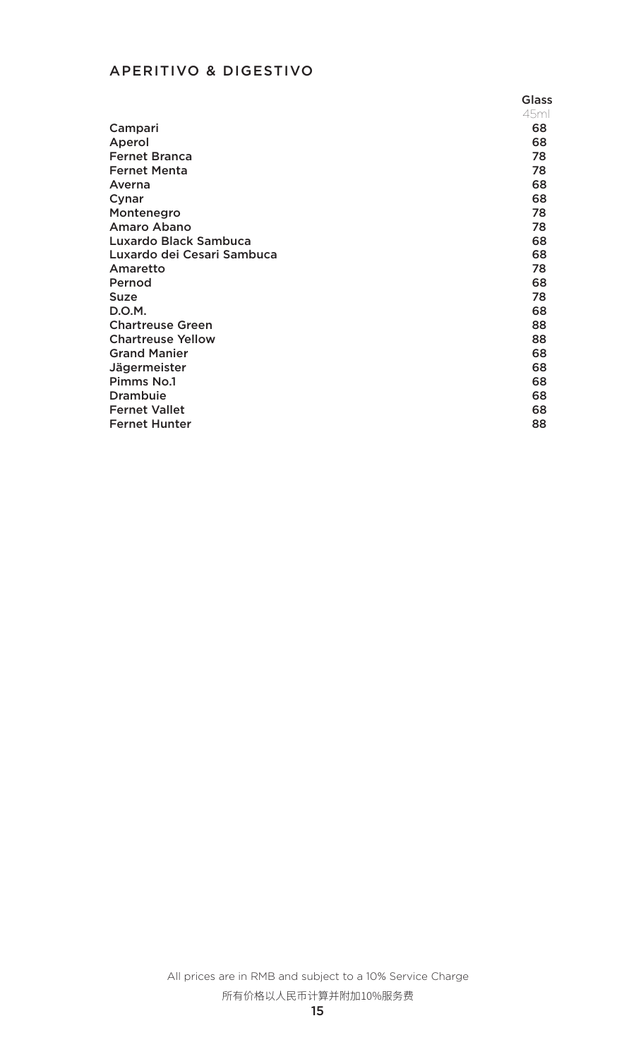# APERITIVO & DIGESTIVO

|                              | <b>Glass</b> |
|------------------------------|--------------|
|                              | 45ml         |
| Campari                      | 68           |
| Aperol                       | 68           |
| <b>Fernet Branca</b>         | 78           |
| <b>Fernet Menta</b>          | 78           |
| Averna                       | 68           |
| Cynar                        | 68           |
| Montenegro                   | 78           |
| Amaro Abano                  | 78           |
| <b>Luxardo Black Sambuca</b> | 68           |
| Luxardo dei Cesari Sambuca   | 68           |
| Amaretto                     | 78           |
| Pernod                       | 68           |
| <b>Suze</b>                  | 78           |
| D.O.M.                       | 68           |
| <b>Chartreuse Green</b>      | 88           |
| <b>Chartreuse Yellow</b>     | 88           |
| <b>Grand Manier</b>          | 68           |
| <b>Jägermeister</b>          | 68           |
| <b>Pimms No.1</b>            | 68           |
| <b>Drambuie</b>              | 68           |
| <b>Fernet Vallet</b>         | 68           |
| <b>Fernet Hunter</b>         | 88           |